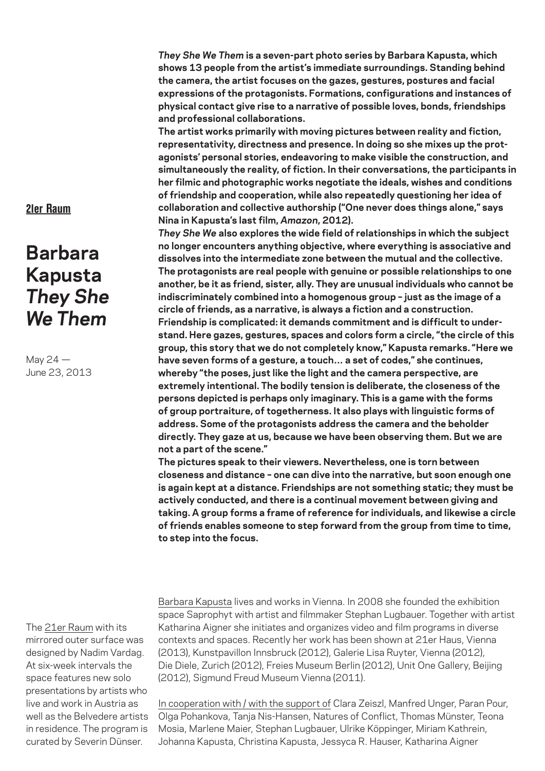*They She We Them* **is a seven-part photo series by Barbara Kapusta, which shows 13 people from the artist's immediate surroundings. Standing behind the camera, the artist focuses on the gazes, gestures, postures and facial expressions of the protagonists. Formations, configurations and instances of physical contact give rise to a narrative of possible loves, bonds, friendships and professional collaborations.**

**The artist works primarily with moving pictures between reality and fiction, representativity, directness and presence. In doing so she mixes up the protagonists' personal stories, endeavoring to make visible the construction, and simultaneously the reality, of fiction. In their conversations, the participants in her filmic and photographic works negotiate the ideals, wishes and conditions of friendship and cooperation, while also repeatedly questioning her idea of collaboration and collective authorship ("One never does things alone," says Nina in Kapusta's last film,** *Amazon***, 2012).**

*They She We* **also explores the wide field of relationships in which the subject no longer encounters anything objective, where everything is associative and dissolves into the intermediate zone between the mutual and the collective. The protagonists are real people with genuine or possible relationships to one another, be it as friend, sister, ally. They are unusual individuals who cannot be indiscriminately combined into a homogenous group – just as the image of a circle of friends, as a narrative, is always a fiction and a construction. Friendship is complicated: it demands commitment and is difficult to understand. Here gazes, gestures, spaces and colors form a circle, "the circle of this group, this story that we do not completely know," Kapusta remarks. "Here we have seven forms of a gesture, a touch… a set of codes," she continues, whereby "the poses, just like the light and the camera perspective, are extremely intentional. The bodily tension is deliberate, the closeness of the persons depicted is perhaps only imaginary. This is a game with the forms of group portraiture, of togetherness. It also plays with linguistic forms of address. Some of the protagonists address the camera and the beholder directly. They gaze at us, because we have been observing them. But we are not a part of the scene."** 

**The pictures speak to their viewers. Nevertheless, one is torn between closeness and distance – one can dive into the narrative, but soon enough one is again kept at a distance. Friendships are not something static; they must be actively conducted, and there is a continual movement between giving and taking. A group forms a frame of reference for individuals, and likewise a circle of friends enables someone to step forward from the group from time to time, to step into the focus.**

The 21er Raum with its mirrored outer surface was designed by Nadim Vardag. At six-week intervals the space features new solo presentations by artists who live and work in Austria as well as the Belvedere artists in residence. The program is curated by Severin Dünser.

Barbara Kapusta lives and works in Vienna. In 2008 she founded the exhibition space Saprophyt with artist and filmmaker Stephan Lugbauer. Together with artist Katharina Aigner she initiates and organizes video and film programs in diverse contexts and spaces. Recently her work has been shown at 21er Haus, Vienna (2013), Kunstpavillon Innsbruck (2012), Galerie Lisa Ruyter, Vienna (2012), Die Diele, Zurich (2012), Freies Museum Berlin (2012), Unit One Gallery, Beijing (2012), Sigmund Freud Museum Vienna (2011).

In cooperation with / with the support of Clara Zeiszl, Manfred Unger, Paran Pour, Olga Pohankova, Tanja Nis-Hansen, Natures of Conflict, Thomas Münster, Teona Mosia, Marlene Maier, Stephan Lugbauer, Ulrike Köppinger, Miriam Kathrein, Johanna Kapusta, Christina Kapusta, Jessyca R. Hauser, Katharina Aigner

## 21er Raum

## **Barbara Kapusta** *They She We Them*

May 24 — June 23, 2013